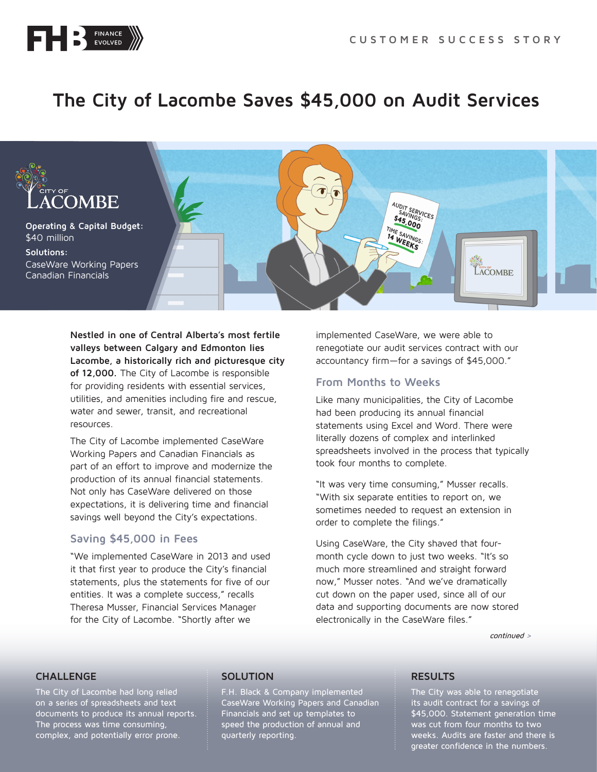

# **The City of Lacombe Saves \$45,000 on Audit Services**



**Nestled in one of Central Alberta's most fertile valleys between Calgary and Edmonton lies Lacombe, a historically rich and picturesque city of 12,000.** The City of Lacombe is responsible for providing residents with essential services, utilities, and amenities including fire and rescue, water and sewer, transit, and recreational resources.

The City of Lacombe implemented CaseWare Working Papers and Canadian Financials as part of an effort to improve and modernize the production of its annual financial statements. Not only has CaseWare delivered on those expectations, it is delivering time and financial savings well beyond the City's expectations.

# **Saving \$45,000 in Fees**

"We implemented CaseWare in 2013 and used it that first year to produce the City's financial statements, plus the statements for five of our entities. It was a complete success," recalls Theresa Musser, Financial Services Manager for the City of Lacombe. "Shortly after we

implemented CaseWare, we were able to renegotiate our audit services contract with our accountancy firm—for a savings of \$45,000."

# **From Months to Weeks**

Like many municipalities, the City of Lacombe had been producing its annual financial statements using Excel and Word. There were literally dozens of complex and interlinked spreadsheets involved in the process that typically took four months to complete.

"It was very time consuming," Musser recalls. "With six separate entities to report on, we sometimes needed to request an extension in order to complete the filings."

Using CaseWare, the City shaved that fourmonth cycle down to just two weeks. "It's so much more streamlined and straight forward now," Musser notes. "And we've dramatically cut down on the paper used, since all of our data and supporting documents are now stored electronically in the CaseWare files."

continued >

## **CHALLENGE**

The City of Lacombe had long relied on a series of spreadsheets and text documents to produce its annual reports. The process was time consuming, complex, and potentially error prone.

#### **SOLUTION**

F.H. Black & Company implemented CaseWare Working Papers and Canadian Financials and set up templates to speed the production of annual and quarterly reporting.

### **RESULTS**

The City was able to renegotiate its audit contract for a savings of \$45,000. Statement generation time was cut from four months to two weeks. Audits are faster and there is greater confidence in the numbers.